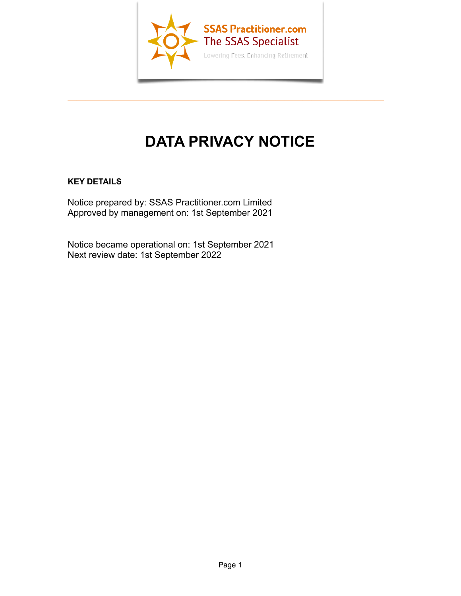

 $\overline{\phantom{a}}$  , and the contract of the contract of the contract of  $\overline{\phantom{a}}$ 

# **DATA PRIVACY NOTICE**

# **KEY DETAILS**

Notice prepared by: [SSAS Practitioner.com Limited](http://www.ssaspractitioner.com) Approved by management on: 1st September 2021

Notice became operational on: 1st September 2021 Next review date: 1st September 2022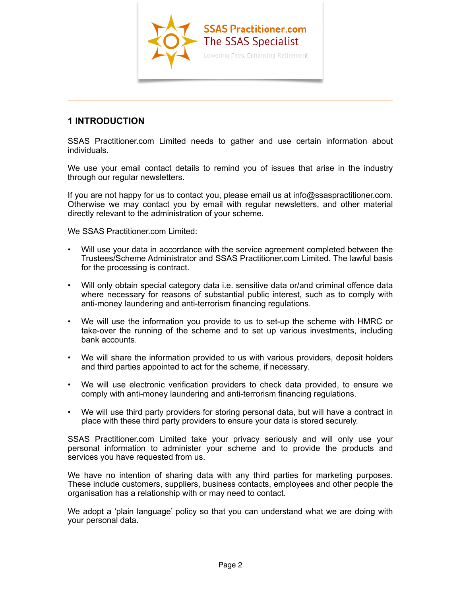

# **1 INTRODUCTION**

[SSAS Practitioner.com Limited](http://www.ssaspractitioner.com) needs to gather and use certain information about individuals.

 $\overline{\phantom{a}}$  , and the contract of the contract of the contract of the contract of the contract of the contract of the contract of the contract of the contract of the contract of the contract of the contract of the contrac

We use your email contact details to remind you of issues that arise in the industry through our regular newsletters.

If you are not happy for us to contact you, please email us at [info@ssaspractitioner.com.](mailto:info@ssaspractitioner.com) Otherwise we may contact you by email with regular newsletters, and other material directly relevant to the administration of your scheme.

We [SSAS Practitioner.com Limited](http://www.ssaspractitioner.com):

- Will use your data in accordance with the service agreement completed between the Trustees/Scheme Administrator and [SSAS Practitioner.com Limited](http://www.ssaspractitioner.com). The lawful basis for the processing is contract.
- Will only obtain special category data i.e. sensitive data or/and criminal offence data where necessary for reasons of substantial public interest, such as to comply with anti-money laundering and anti-terrorism financing regulations.
- We will use the information you provide to us to set-up the scheme with HMRC or take-over the running of the scheme and to set up various investments, including bank accounts.
- We will share the information provided to us with various providers, deposit holders and third parties appointed to act for the scheme, if necessary.
- We will use electronic verification providers to check data provided, to ensure we comply with anti-money laundering and anti-terrorism financing regulations.
- We will use third party providers for storing personal data, but will have a contract in place with these third party providers to ensure your data is stored securely.

[SSAS Practitioner.com Limited](http://www.ssaspractitioner.com) take your privacy seriously and will only use your personal information to administer your scheme and to provide the products and services you have requested from us.

We have no intention of sharing data with any third parties for marketing purposes. These include customers, suppliers, business contacts, employees and other people the organisation has a relationship with or may need to contact.

We adopt a 'plain language' policy so that you can understand what we are doing with your personal data.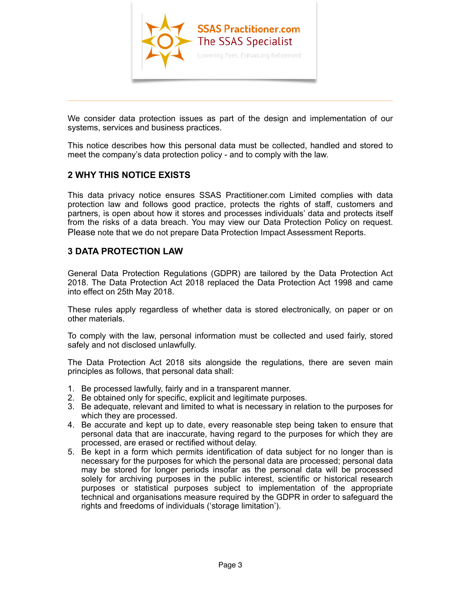

We consider data protection issues as part of the design and implementation of our systems, services and business practices.

 $\overline{\phantom{a}}$  , and the contract of the contract of the contract of the contract of the contract of the contract of the contract of the contract of the contract of the contract of the contract of the contract of the contrac

This notice describes how this personal data must be collected, handled and stored to meet the company's data protection policy - and to comply with the law.

# **2 WHY THIS NOTICE EXISTS**

This data privacy notice ensures [SSAS Practitioner.com Limited](http://www.ssaspractitioner.com) complies with data protection law and follows good practice, protects the rights of staff, customers and partners, is open about how it stores and processes individuals' data and protects itself from the risks of a data breach. You may view our Data Protection Policy on request. Please note that we do not prepare Data Protection Impact Assessment Reports.

# **3 DATA PROTECTION LAW**

General Data Protection Regulations (GDPR) are tailored by the Data Protection Act 2018. The Data Protection Act 2018 replaced the Data Protection Act 1998 and came into effect on 25th May 2018.

These rules apply regardless of whether data is stored electronically, on paper or on other materials.

To comply with the law, personal information must be collected and used fairly, stored safely and not disclosed unlawfully.

The Data Protection Act 2018 sits alongside the regulations, there are seven main principles as follows, that personal data shall:

- 1. Be processed lawfully, fairly and in a transparent manner.
- 2. Be obtained only for specific, explicit and legitimate purposes.
- 3. Be adequate, relevant and limited to what is necessary in relation to the purposes for which they are processed.
- 4. Be accurate and kept up to date, every reasonable step being taken to ensure that personal data that are inaccurate, having regard to the purposes for which they are processed, are erased or rectified without delay.
- 5. Be kept in a form which permits identification of data subject for no longer than is necessary for the purposes for which the personal data are processed; personal data may be stored for longer periods insofar as the personal data will be processed solely for archiving purposes in the public interest, scientific or historical research purposes or statistical purposes subject to implementation of the appropriate technical and organisations measure required by the GDPR in order to safeguard the rights and freedoms of individuals ('storage limitation').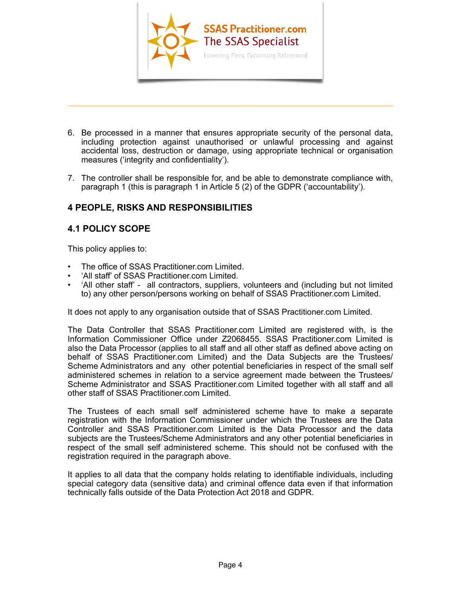

6. Be processed in a manner that ensures appropriate security of the personal data, including protection against unauthorised or unlawful processing and against accidental loss, destruction or damage, using appropriate technical or organisation measures ('integrity and confidentiality').

 $\overline{\phantom{a}}$  , and the contract of the contract of  $\overline{\phantom{a}}$  ,  $\overline{\phantom{a}}$  ,  $\overline{\phantom{a}}$  ,  $\overline{\phantom{a}}$  ,  $\overline{\phantom{a}}$  ,  $\overline{\phantom{a}}$  ,  $\overline{\phantom{a}}$  ,  $\overline{\phantom{a}}$  ,  $\overline{\phantom{a}}$  ,  $\overline{\phantom{a}}$  ,  $\overline{\phantom{a}}$  ,  $\overline{\phantom{a}}$  ,  $\over$ 

7. The controller shall be responsible for, and be able to demonstrate compliance with, paragraph 1 (this is paragraph 1 in Article 5 (2) of the GDPR ('accountability').

# **4 PEOPLE, RISKS AND RESPONSIBILITIES**

# **4.1 POLICY SCOPE**

This policy applies to:

- The office of [SSAS Practitioner.com Limited](http://www.ssaspractitioner.com).
- 'All staff' of [SSAS Practitioner.com Limited.](http://www.ssaspractitioner.com)
- 'All other staff' all contractors, suppliers, volunteers and (including but not limited to) any other person/persons working on behalf of [SSAS Practitioner.com Limited.](http://www.ssaspractitioner.com)

It does not apply to any organisation outside that of [SSAS Practitioner.com Limited.](http://www.ssaspractitioner.com)

The Data Controller that [SSAS Practitioner.com Limited](http://www.ssaspractitioner.com) are registered with, is the Information Commissioner Office under Z2068455. [SSAS Practitioner.com Limited](http://www.ssaspractitioner.com) is also the Data Processor (applies to all staff and all other staff as defined above acting on behalf of SSAS Practitioner.com Limited) and the Data Subjects are the Trustees/ Scheme Administrators and any other potential beneficiaries in respect of the small self administered schemes in relation to a service agreement made between the Trustees/ Scheme Administrator and [SSAS Practitioner.com Limited](http://www.ssaspractitioner.com) together with all staff and all other staff of [SSAS Practitioner.com Limited.](http://www.ssaspractitioner.com)

The Trustees of each small self administered scheme have to make a separate registration with the Information Commissioner under which the Trustees are the Data Controller and [SSAS Practitioner.com Limited](http://www.ssaspractitioner.com) is the Data Processor and the data subjects are the Trustees/Scheme Administrators and any other potential beneficiaries in respect of the small self administered scheme. This should not be confused with the registration required in the paragraph above.

It applies to all data that the company holds relating to identifiable individuals, including special category data (sensitive data) and criminal offence data even if that information technically falls outside of the Data Protection Act 2018 and GDPR.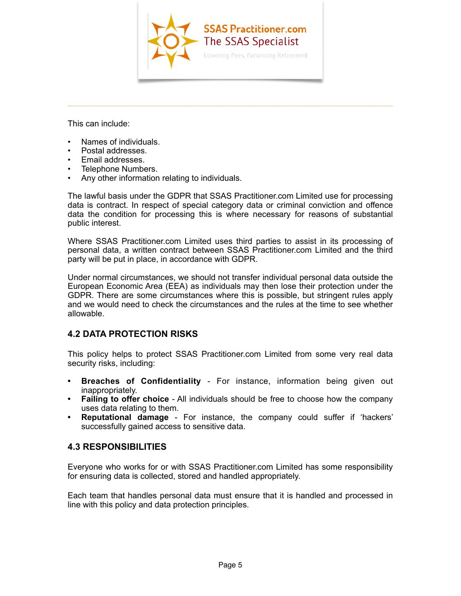

 $\overline{\phantom{a}}$  , and the contract of the contract of  $\overline{\phantom{a}}$  ,  $\overline{\phantom{a}}$  ,  $\overline{\phantom{a}}$  ,  $\overline{\phantom{a}}$  ,  $\overline{\phantom{a}}$  ,  $\overline{\phantom{a}}$  ,  $\overline{\phantom{a}}$  ,  $\overline{\phantom{a}}$  ,  $\overline{\phantom{a}}$  ,  $\overline{\phantom{a}}$  ,  $\overline{\phantom{a}}$  ,  $\overline{\phantom{a}}$  ,  $\over$ 

This can include:

- Names of individuals.
- Postal addresses.
- Email addresses.
- Telephone Numbers.
- Any other information relating to individuals.

The lawful basis under the GDPR that [SSAS Practitioner.com Limited](http://www.ssaspractitioner.com) use for processing data is contract. In respect of special category data or criminal conviction and offence data the condition for processing this is where necessary for reasons of substantial public interest.

Where [SSAS Practitioner.com Limited](http://www.ssaspractitioner.com) uses third parties to assist in its processing of personal data, a written contract between [SSAS Practitioner.com Limited](http://www.ssaspractitioner.com) and the third party will be put in place, in accordance with GDPR.

Under normal circumstances, we should not transfer individual personal data outside the European Economic Area (EEA) as individuals may then lose their protection under the GDPR. There are some circumstances where this is possible, but stringent rules apply and we would need to check the circumstances and the rules at the time to see whether allowable.

# **4.2 DATA PROTECTION RISKS**

This policy helps to protect [SSAS Practitioner.com Limited](http://www.ssaspractitioner.com) from some very real data security risks, including:

- **• Breaches of Confidentiality**  For instance, information being given out inappropriately.
- **• Failing to offer choice**  All individuals should be free to choose how the company uses data relating to them.
- **• Reputational damage**  For instance, the company could suffer if 'hackers' successfully gained access to sensitive data.

# **4.3 RESPONSIBILITIES**

Everyone who works for or with [SSAS Practitioner.com Limited](http://www.ssaspractitioner.com) has some responsibility for ensuring data is collected, stored and handled appropriately.

Each team that handles personal data must ensure that it is handled and processed in line with this policy and data protection principles.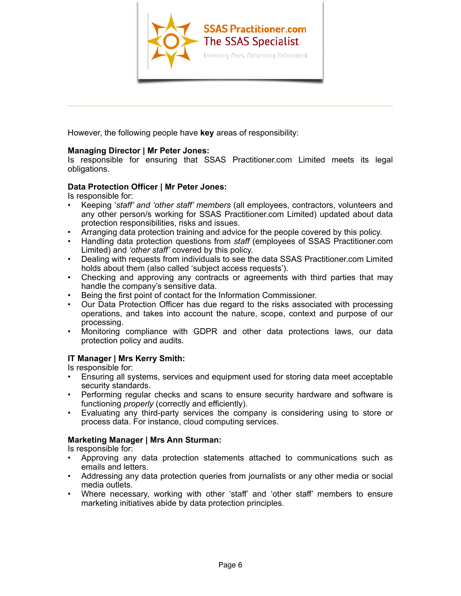

However, the following people have **key** areas of responsibility:

#### **Managing Director | Mr Peter Jones:**

Is responsible for ensuring that [SSAS Practitioner.com Limited](http://www.ssaspractitioner.com) meets its legal obligations.

 $\overline{\phantom{a}}$  , and the contract of the contract of  $\overline{\phantom{a}}$  ,  $\overline{\phantom{a}}$  ,  $\overline{\phantom{a}}$  ,  $\overline{\phantom{a}}$  ,  $\overline{\phantom{a}}$  ,  $\overline{\phantom{a}}$  ,  $\overline{\phantom{a}}$  ,  $\overline{\phantom{a}}$  ,  $\overline{\phantom{a}}$  ,  $\overline{\phantom{a}}$  ,  $\overline{\phantom{a}}$  ,  $\overline{\phantom{a}}$  ,  $\over$ 

#### **Data Protection Officer | Mr Peter Jones:**

Is responsible for:

- Keeping '*staff' and 'other staff' members* (all employees, contractors, volunteers and any other person/s working for [SSAS Practitioner.com Limited\)](http://www.ssaspractitioner.com) updated about data protection responsibilities, risks and issues.
- Arranging data protection training and advice for the people covered by this policy.
- Handling data protection questions from *staff* (employees of [SSAS Practitioner.com](http://www.ssaspractitioner.com) [Limited](http://www.ssaspractitioner.com)) and *'other staff'* covered by this policy.
- Dealing with requests from individuals to see the data [SSAS Practitioner.com Limited](http://www.ssaspractitioner.com) holds about them (also called 'subject access requests').
- Checking and approving any contracts or agreements with third parties that may handle the company's sensitive data.
- Being the first point of contact for the Information Commissioner.
- Our Data Protection Officer has due regard to the risks associated with processing operations, and takes into account the nature, scope, context and purpose of our processing.
- Monitoring compliance with GDPR and other data protections laws, our data protection policy and audits.

# **IT Manager | Mrs Kerry Smith:**

Is responsible for:

- Ensuring all systems, services and equipment used for storing data meet acceptable security standards.
- Performing regular checks and scans to ensure security hardware and software is functioning *properly* (correctly and efficiently).
- Evaluating any third-party services the company is considering using to store or process data. For instance, cloud computing services.

#### **Marketing Manager | Mrs Ann Sturman:**

Is responsible for:

- Approving any data protection statements attached to communications such as emails and letters.
- Addressing any data protection queries from journalists or any other media or social media outlets.
- Where necessary, working with other 'staff' and 'other staff' members to ensure marketing initiatives abide by data protection principles.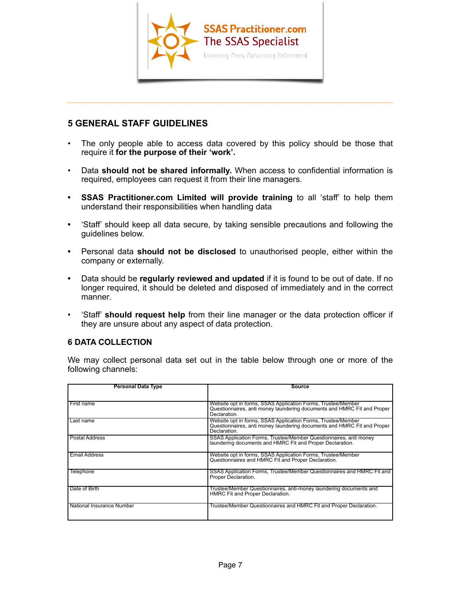

# **5 GENERAL STAFF GUIDELINES**

The only people able to access data covered by this policy should be those that require it **for the purpose of their 'work'.**

 $\overline{\phantom{a}}$  , and the contract of the contract of the contract of the contract of the contract of the contract of the contract of the contract of the contract of the contract of the contract of the contract of the contrac

- Data **should not be shared informally.** When access to confidential information is required, employees can request it from their line managers.
- **• [SSAS Practitioner.com Limited](http://www.ssaspractitioner.com) will provide training** to all 'staff' to help them understand their responsibilities when handling data
- **•** 'Staff' should keep all data secure, by taking sensible precautions and following the guidelines below.
- **•** Personal data **should not be disclosed** to unauthorised people, either within the company or externally.
- **•** Data should be **regularly reviewed and updated** if it is found to be out of date. If no longer required, it should be deleted and disposed of immediately and in the correct manner.
- 'Staff' **should request help** from their line manager or the data protection officer if they are unsure about any aspect of data protection.

# **6 DATA COLLECTION**

We may collect personal data set out in the table below through one or more of the following channels:

| <b>Personal Data Type</b> | <b>Source</b>                                                                                                                                           |
|---------------------------|---------------------------------------------------------------------------------------------------------------------------------------------------------|
|                           |                                                                                                                                                         |
| First name                | Website opt in forms, SSAS Application Forms, Trustee/Member<br>Questionnaires, anti money laundering documents and HMRC Fit and Proper<br>Declaration. |
| Last name                 | Website opt in forms, SSAS Application Forms, Trustee/Member<br>Questionnaires, anti money laundering documents and HMRC Fit and Proper<br>Declaration. |
| <b>Postal Address</b>     | SSAS Application Forms, Trustee/Member Questionnaires, anti money<br>laundering documents and HMRC Fit and Proper Declaration.                          |
| <b>Email Address</b>      | Website opt in forms, SSAS Application Forms, Trustee/Member<br>Questionnaires and HMRC Fit and Proper Declaration.                                     |
| Telephone                 | SSAS Application Forms, Trustee/Member Questionnaires and HMRC Fit and<br>Proper Declaration.                                                           |
| Date of Birth             | Trustee/Member Questionnaires, anti-money laundering documents and<br>HMRC Fit and Proper Declaration.                                                  |
| National Insurance Number | Trustee/Member Questionnaires and HMRC Fit and Proper Declaration.                                                                                      |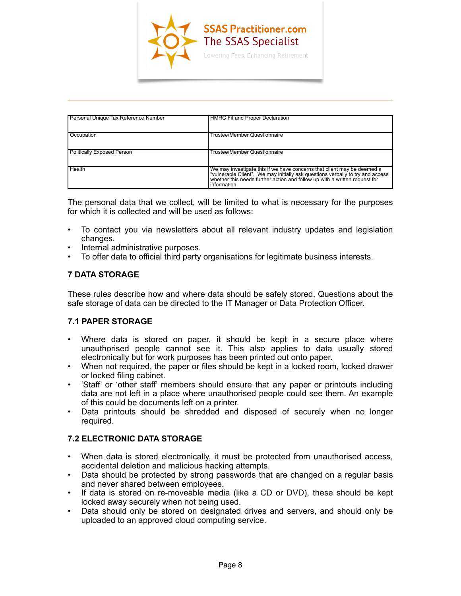

| Personal Unique Tax Reference Number | <b>HMRC Fit and Proper Declaration</b>                                                                                                                 |
|--------------------------------------|--------------------------------------------------------------------------------------------------------------------------------------------------------|
|                                      |                                                                                                                                                        |
|                                      |                                                                                                                                                        |
| Occupation                           | Trustee/Member Questionnaire                                                                                                                           |
|                                      |                                                                                                                                                        |
|                                      |                                                                                                                                                        |
| Politically Exposed Person           | Trustee/Member Questionnaire                                                                                                                           |
|                                      |                                                                                                                                                        |
|                                      |                                                                                                                                                        |
| <b>Health</b>                        | We may investigate this if we have concerns that client may be deemed a "vulnerable Client". We may initially ask questions verbally to try and access |
|                                      |                                                                                                                                                        |
|                                      | whether this needs further action and follow up with a written request for                                                                             |
|                                      | Information                                                                                                                                            |

 $\overline{\phantom{a}}$  , and the contract of the contract of the contract of the contract of the contract of the contract of the contract of the contract of the contract of the contract of the contract of the contract of the contrac

The personal data that we collect, will be limited to what is necessary for the purposes for which it is collected and will be used as follows:

- To contact you via newsletters about all relevant industry updates and legislation changes.
- Internal administrative purposes.
- To offer data to official third party organisations for legitimate business interests.

# **7 DATA STORAGE**

These rules describe how and where data should be safely stored. Questions about the safe storage of data can be directed to the IT Manager or Data Protection Officer.

#### **7.1 PAPER STORAGE**

- Where data is stored on paper, it should be kept in a secure place where unauthorised people cannot see it. This also applies to data usually stored electronically but for work purposes has been printed out onto paper.
- When not required, the paper or files should be kept in a locked room, locked drawer or locked filing cabinet.
- 'Staff' or 'other staff' members should ensure that any paper or printouts including data are not left in a place where unauthorised people could see them. An example of this could be documents left on a printer.
- Data printouts should be shredded and disposed of securely when no longer required.

# **7.2 ELECTRONIC DATA STORAGE**

- When data is stored electronically, it must be protected from unauthorised access, accidental deletion and malicious hacking attempts.
- Data should be protected by strong passwords that are changed on a regular basis and never shared between employees.
- If data is stored on re-moveable media (like a CD or DVD), these should be kept locked away securely when not being used.
- Data should only be stored on designated drives and servers, and should only be uploaded to an approved cloud computing service.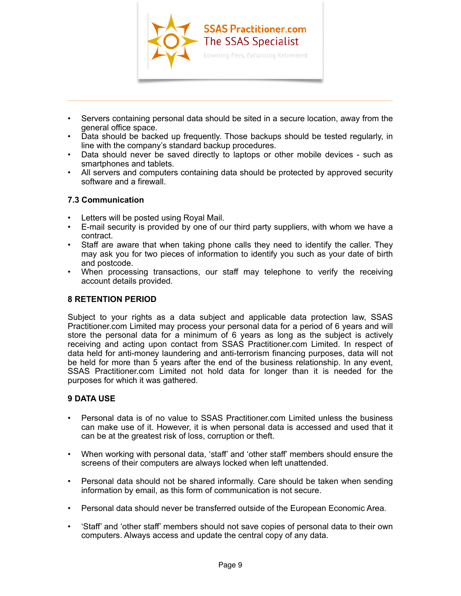

• Servers containing personal data should be sited in a secure location, away from the general office space.

 $\overline{\phantom{a}}$  , and the contract of the contract of the contract of the contract of the contract of the contract of the contract of the contract of the contract of the contract of the contract of the contract of the contrac

- Data should be backed up frequently. Those backups should be tested regularly, in line with the company's standard backup procedures.
- Data should never be saved directly to laptops or other mobile devices such as smartphones and tablets.
- All servers and computers containing data should be protected by approved security software and a firewall.

#### **7.3 Communication**

- Letters will be posted using Royal Mail.
- E-mail security is provided by one of our third party suppliers, with whom we have a contract.
- Staff are aware that when taking phone calls they need to identify the caller. They may ask you for two pieces of information to identify you such as your date of birth and postcode.
- When processing transactions, our staff may telephone to verify the receiving account details provided.

## **8 RETENTION PERIOD**

Subject to your rights as a data subject and applicable data protection law, [SSAS](http://www.ssaspractitioner.com) [Practitioner.com Limited](http://www.ssaspractitioner.com) may process your personal data for a period of 6 years and will store the personal data for a minimum of 6 years as long as the subject is actively receiving and acting upon contact from [SSAS Practitioner.com Limited.](http://www.ssaspractitioner.com) In respect of data held for anti-money laundering and anti-terrorism financing purposes, data will not be held for more than 5 years after the end of the business relationship. In any event, [SSAS Practitioner.com Limited](http://www.ssaspractitioner.com) not hold data for longer than it is needed for the purposes for which it was gathered.

#### **9 DATA USE**

- Personal data is of no value to [SSAS Practitioner.com Limited](http://www.ssaspractitioner.com) unless the business can make use of it. However, it is when personal data is accessed and used that it can be at the greatest risk of loss, corruption or theft.
- When working with personal data, 'staff' and 'other staff' members should ensure the screens of their computers are always locked when left unattended.
- Personal data should not be shared informally. Care should be taken when sending information by email, as this form of communication is not secure.
- Personal data should never be transferred outside of the European Economic Area.
- 'Staff' and 'other staff' members should not save copies of personal data to their own computers. Always access and update the central copy of any data.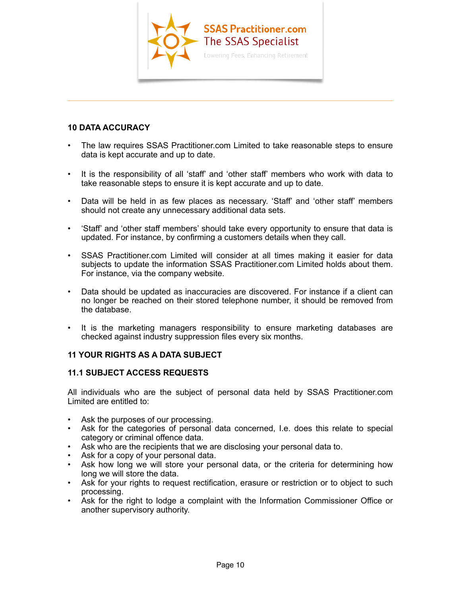

# **10 DATA ACCURACY**

• The law requires [SSAS Practitioner.com Limited](http://www.ssaspractitioner.com) to take reasonable steps to ensure data is kept accurate and up to date.

 $\overline{\phantom{a}}$  , and the contract of the contract of the contract of the contract of the contract of the contract of the contract of the contract of the contract of the contract of the contract of the contract of the contrac

- It is the responsibility of all 'staff' and 'other staff' members who work with data to take reasonable steps to ensure it is kept accurate and up to date.
- Data will be held in as few places as necessary. 'Staff' and 'other staff' members should not create any unnecessary additional data sets.
- 'Staff' and 'other staff members' should take every opportunity to ensure that data is updated. For instance, by confirming a customers details when they call.
- [SSAS Practitioner.com Limited](http://www.ssaspractitioner.com) will consider at all times making it easier for data subjects to update the information [SSAS Practitioner.com Limited](http://www.ssaspractitioner.com) holds about them. For instance, via the company website.
- Data should be updated as inaccuracies are discovered. For instance if a client can no longer be reached on their stored telephone number, it should be removed from the database.
- It is the marketing managers responsibility to ensure marketing databases are checked against industry suppression files every six months.

# **11 YOUR RIGHTS AS A DATA SUBJECT**

#### **11.1 SUBJECT ACCESS REQUESTS**

All individuals who are the subject of personal data held by [SSAS Practitioner.com](http://www.ssaspractitioner.com) [Limited](http://www.ssaspractitioner.com) are entitled to:

- Ask the purposes of our processing.
- Ask for the categories of personal data concerned, I.e. does this relate to special category or criminal offence data.
- Ask who are the recipients that we are disclosing your personal data to.
- Ask for a copy of your personal data.
- Ask how long we will store your personal data, or the criteria for determining how long we will store the data.
- Ask for your rights to request rectification, erasure or restriction or to object to such processing.
- Ask for the right to lodge a complaint with the Information Commissioner Office or another supervisory authority.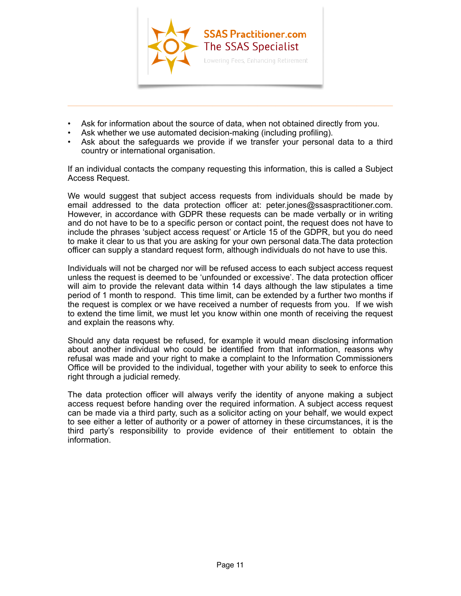

• Ask for information about the source of data, when not obtained directly from you.

 $\overline{\phantom{a}}$  , and the contract of the contract of  $\overline{\phantom{a}}$  ,  $\overline{\phantom{a}}$  ,  $\overline{\phantom{a}}$  ,  $\overline{\phantom{a}}$  ,  $\overline{\phantom{a}}$  ,  $\overline{\phantom{a}}$  ,  $\overline{\phantom{a}}$  ,  $\overline{\phantom{a}}$  ,  $\overline{\phantom{a}}$  ,  $\overline{\phantom{a}}$  ,  $\overline{\phantom{a}}$  ,  $\overline{\phantom{a}}$  ,  $\over$ 

- Ask whether we use automated decision-making (including profiling).
- Ask about the safeguards we provide if we transfer your personal data to a third country or international organisation.

If an individual contacts the company requesting this information, this is called a Subject Access Request.

We would suggest that subject access requests from individuals should be made by email addressed to the data protection officer at: [peter.jones@ssaspractitioner.com.](mailto:peter.jones@ssaspractitioner.com) However, in accordance with GDPR these requests can be made verbally or in writing and do not have to be to a specific person or contact point, the request does not have to include the phrases 'subject access request' or Article 15 of the GDPR, but you do need to make it clear to us that you are asking for your own personal data.The data protection officer can supply a standard request form, although individuals do not have to use this.

Individuals will not be charged nor will be refused access to each subject access request unless the request is deemed to be 'unfounded or excessive'. The data protection officer will aim to provide the relevant data within 14 days although the law stipulates a time period of 1 month to respond. This time limit, can be extended by a further two months if the request is complex or we have received a number of requests from you. If we wish to extend the time limit, we must let you know within one month of receiving the request and explain the reasons why.

Should any data request be refused, for example it would mean disclosing information about another individual who could be identified from that information, reasons why refusal was made and your right to make a complaint to the Information Commissioners Office will be provided to the individual, together with your ability to seek to enforce this right through a judicial remedy.

The data protection officer will always verify the identity of anyone making a subject access request before handing over the required information. A subject access request can be made via a third party, such as a solicitor acting on your behalf, we would expect to see either a letter of authority or a power of attorney in these circumstances, it is the third party's responsibility to provide evidence of their entitlement to obtain the information.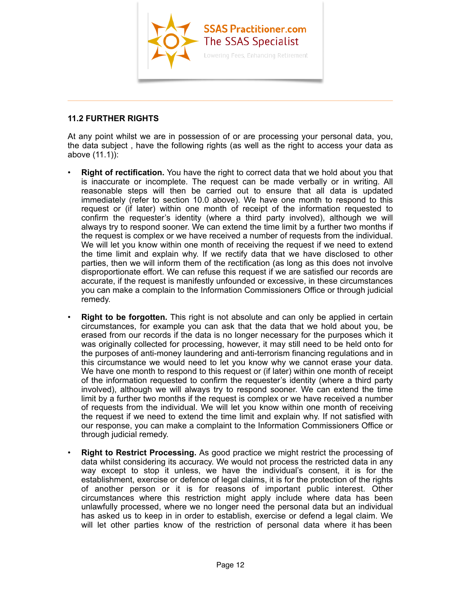

# **11.2 FURTHER RIGHTS**

At any point whilst we are in possession of or are processing your personal data, you, the data subject , have the following rights (as well as the right to access your data as above (11.1)):

 $\overline{\phantom{a}}$  , and the contract of the contract of the contract of the contract of the contract of the contract of the contract of the contract of the contract of the contract of the contract of the contract of the contrac

- **Right of rectification.** You have the right to correct data that we hold about you that is inaccurate or incomplete. The request can be made verbally or in writing. All reasonable steps will then be carried out to ensure that all data is updated immediately (refer to section 10.0 above). We have one month to respond to this request or (if later) within one month of receipt of the information requested to confirm the requester's identity (where a third party involved), although we will always try to respond sooner. We can extend the time limit by a further two months if the request is complex or we have received a number of requests from the individual. We will let you know within one month of receiving the request if we need to extend the time limit and explain why. If we rectify data that we have disclosed to other parties, then we will inform them of the rectification (as long as this does not involve disproportionate effort. We can refuse this request if we are satisfied our records are accurate, if the request is manifestly unfounded or excessive, in these circumstances you can make a complain to the Information Commissioners Office or through judicial remedy.
- **Right to be forgotten.** This right is not absolute and can only be applied in certain circumstances, for example you can ask that the data that we hold about you, be erased from our records if the data is no longer necessary for the purposes which it was originally collected for processing, however, it may still need to be held onto for the purposes of anti-money laundering and anti-terrorism financing regulations and in this circumstance we would need to let you know why we cannot erase your data. We have one month to respond to this request or (if later) within one month of receipt of the information requested to confirm the requester's identity (where a third party involved), although we will always try to respond sooner. We can extend the time limit by a further two months if the request is complex or we have received a number of requests from the individual. We will let you know within one month of receiving the request if we need to extend the time limit and explain why. If not satisfied with our response, you can make a complaint to the Information Commissioners Office or through judicial remedy.
- **Right to Restrict Processing.** As good practice we might restrict the processing of data whilst considering its accuracy. We would not process the restricted data in any way except to stop it unless, we have the individual's consent, it is for the establishment, exercise or defence of legal claims, it is for the protection of the rights of another person or it is for reasons of important public interest. Other circumstances where this restriction might apply include where data has been unlawfully processed, where we no longer need the personal data but an individual has asked us to keep in in order to establish, exercise or defend a legal claim. We will let other parties know of the restriction of personal data where it has been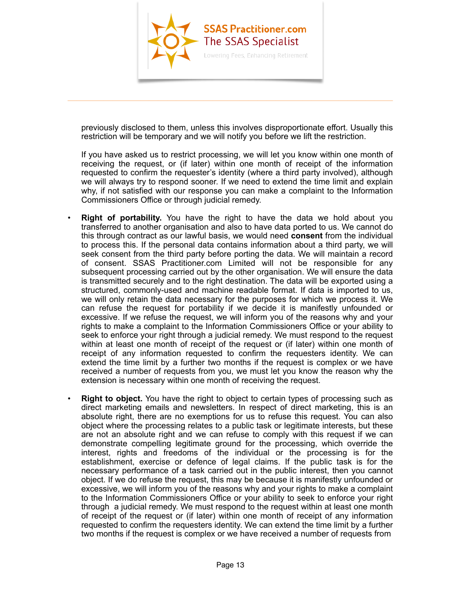

 $\overline{\phantom{a}}$  , and the contract of the contract of the contract of the contract of the contract of the contract of the contract of the contract of the contract of the contract of the contract of the contract of the contrac

previously disclosed to them, unless this involves disproportionate effort. Usually this restriction will be temporary and we will notify you before we lift the restriction.

If you have asked us to restrict processing, we will let you know within one month of receiving the request, or (if later) within one month of receipt of the information requested to confirm the requester's identity (where a third party involved), although we will always try to respond sooner. If we need to extend the time limit and explain why, if not satisfied with our response you can make a complaint to the Information Commissioners Office or through judicial remedy.

- **Right of portability.** You have the right to have the data we hold about you transferred to another organisation and also to have data ported to us. We cannot do this through contract as our lawful basis, we would need **consent** from the individual to process this. If the personal data contains information about a third party, we will seek consent from the third party before porting the data. We will maintain a record of consent. [SSAS Practitioner.com Limited](http://www.ssaspractitioner.com) will not be responsible for any subsequent processing carried out by the other organisation. We will ensure the data is transmitted securely and to the right destination. The data will be exported using a structured, commonly-used and machine readable format. If data is imported to us, we will only retain the data necessary for the purposes for which we process it. We can refuse the request for portability if we decide it is manifestly unfounded or excessive. If we refuse the request, we will inform you of the reasons why and your rights to make a complaint to the Information Commissioners Office or your ability to seek to enforce your right through a judicial remedy. We must respond to the request within at least one month of receipt of the request or (if later) within one month of receipt of any information requested to confirm the requesters identity. We can extend the time limit by a further two months if the request is complex or we have received a number of requests from you, we must let you know the reason why the extension is necessary within one month of receiving the request.
- **Right to object.** You have the right to object to certain types of processing such as direct marketing emails and newsletters. In respect of direct marketing, this is an absolute right, there are no exemptions for us to refuse this request. You can also object where the processing relates to a public task or legitimate interests, but these are not an absolute right and we can refuse to comply with this request if we can demonstrate compelling legitimate ground for the processing, which override the interest, rights and freedoms of the individual or the processing is for the establishment, exercise or defence of legal claims. If the public task is for the necessary performance of a task carried out in the public interest, then you cannot object. If we do refuse the request, this may be because it is manifestly unfounded or excessive, we will inform you of the reasons why and your rights to make a complaint to the Information Commissioners Office or your ability to seek to enforce your right through a judicial remedy. We must respond to the request within at least one month of receipt of the request or (if later) within one month of receipt of any information requested to confirm the requesters identity. We can extend the time limit by a further two months if the request is complex or we have received a number of requests from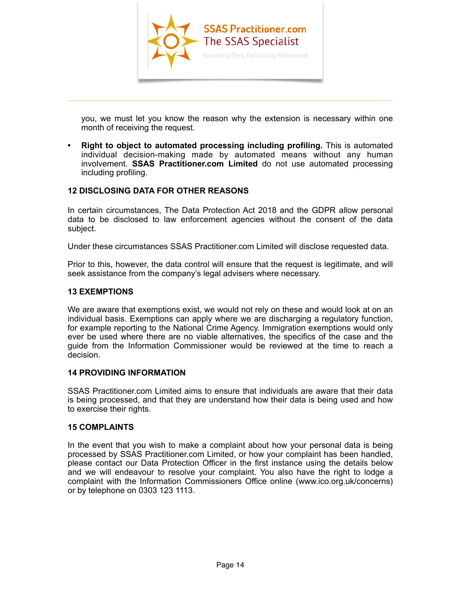

you, we must let you know the reason why the extension is necessary within one month of receiving the request.

 $\overline{\phantom{a}}$  , and the contract of the contract of the contract of the contract of the contract of the contract of the contract of the contract of the contract of the contract of the contract of the contract of the contrac

**• Right to object to automated processing including profiling.** This is automated individual decision-making made by automated means without any human involvement. **[SSAS Practitioner.com Limited](http://www.ssaspractitioner.com)** do not use automated processing including profiling.

# **12 DISCLOSING DATA FOR OTHER REASONS**

In certain circumstances, The Data Protection Act 2018 and the GDPR allow personal data to be disclosed to law enforcement agencies without the consent of the data subject.

Under these circumstances [SSAS Practitioner.com Limited](http://www.ssaspractitioner.com) will disclose requested data.

Prior to this, however, the data control will ensure that the request is legitimate, and will seek assistance from the company's legal advisers where necessary.

#### **13 EXEMPTIONS**

We are aware that exemptions exist, we would not rely on these and would look at on an individual basis. Exemptions can apply where we are discharging a regulatory function, for example reporting to the National Crime Agency. Immigration exemptions would only ever be used where there are no viable alternatives, the specifics of the case and the guide from the Information Commissioner would be reviewed at the time to reach a decision.

## **14 PROVIDING INFORMATION**

[SSAS Practitioner.com Limited](http://www.ssaspractitioner.com) aims to ensure that individuals are aware that their data is being processed, and that they are understand how their data is being used and how to exercise their rights.

#### **15 COMPLAINTS**

In the event that you wish to make a complaint about how your personal data is being processed by [SSAS Practitioner.com Limited,](http://www.ssaspractitioner.com) or how your complaint has been handled, please contact our Data Protection Officer in the first instance using the details below and we will endeavour to resolve your complaint. You also have the right to lodge a complaint with the Information Commissioners Office online ([www.ico.org.uk/concerns](http://www.ico.org.uk/concerns)) or by telephone on 0303 123 1113.